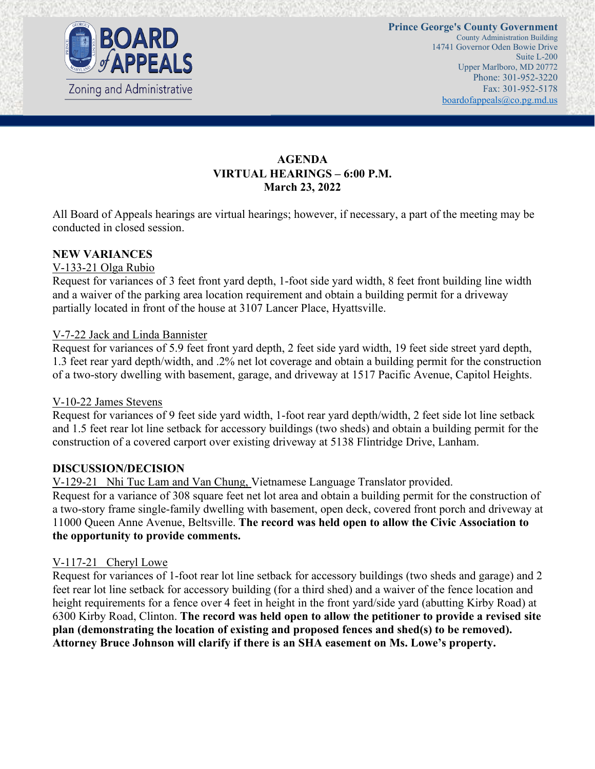

# **AGENDA VIRTUAL HEARINGS – 6:00 P.M. March 23, 2022**

All Board of Appeals hearings are virtual hearings; however, if necessary, a part of the meeting may be conducted in closed session.

### **NEW VARIANCES**

### V-133-21 Olga Rubio

Request for variances of 3 feet front yard depth, 1-foot side yard width, 8 feet front building line width and a waiver of the parking area location requirement and obtain a building permit for a driveway partially located in front of the house at 3107 Lancer Place, Hyattsville.

### V-7-22 Jack and Linda Bannister

Request for variances of 5.9 feet front yard depth, 2 feet side yard width, 19 feet side street yard depth, 1.3 feet rear yard depth/width, and .2% net lot coverage and obtain a building permit for the construction of a two-story dwelling with basement, garage, and driveway at 1517 Pacific Avenue, Capitol Heights.

### V-10-22 James Stevens

Request for variances of 9 feet side yard width, 1-foot rear yard depth/width, 2 feet side lot line setback and 1.5 feet rear lot line setback for accessory buildings (two sheds) and obtain a building permit for the construction of a covered carport over existing driveway at 5138 Flintridge Drive, Lanham.

### **DISCUSSION/DECISION**

V-129-21 Nhi Tuc Lam and Van Chung, Vietnamese Language Translator provided.

Request for a variance of 308 square feet net lot area and obtain a building permit for the construction of a two-story frame single-family dwelling with basement, open deck, covered front porch and driveway at 11000 Queen Anne Avenue, Beltsville. **The record was held open to allow the Civic Association to the opportunity to provide comments.**

### V-117-21 Cheryl Lowe

Request for variances of 1-foot rear lot line setback for accessory buildings (two sheds and garage) and 2 feet rear lot line setback for accessory building (for a third shed) and a waiver of the fence location and height requirements for a fence over 4 feet in height in the front yard/side yard (abutting Kirby Road) at 6300 Kirby Road, Clinton. **The record was held open to allow the petitioner to provide a revised site plan (demonstrating the location of existing and proposed fences and shed(s) to be removed). Attorney Bruce Johnson will clarify if there is an SHA easement on Ms. Lowe's property.**